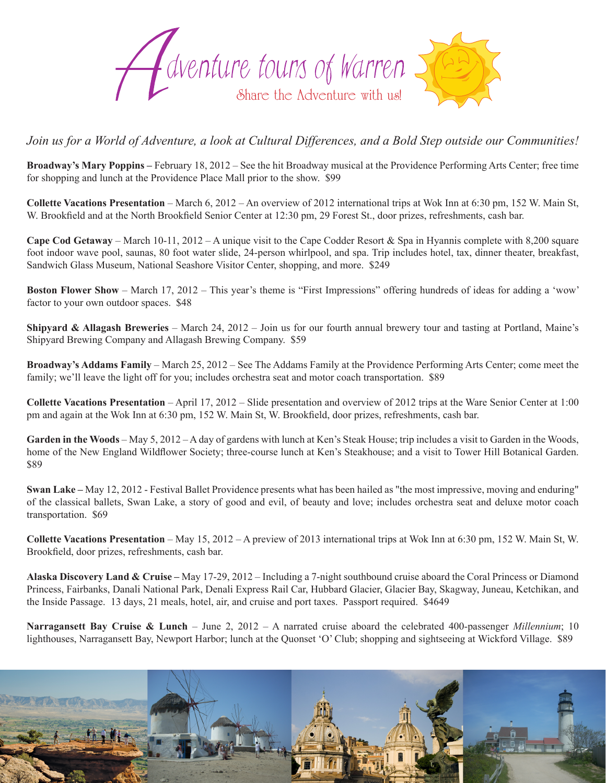

## *Join us for a World of Adventure, a look at Cultural Differences, and a Bold Step outside our Communities!*

**Broadway's Mary Poppins –** February 18, 2012 – See the hit Broadway musical at the Providence Performing Arts Center; free time for shopping and lunch at the Providence Place Mall prior to the show. \$99

**Collette Vacations Presentation** – March 6, 2012 – An overview of 2012 international trips at Wok Inn at 6:30 pm, 152 W. Main St, W. Brookfield and at the North Brookfield Senior Center at 12:30 pm, 29 Forest St., door prizes, refreshments, cash bar.

**Cape Cod Getaway** – March 10-11, 2012 – A unique visit to the Cape Codder Resort & Spa in Hyannis complete with 8,200 square foot indoor wave pool, saunas, 80 foot water slide, 24-person whirlpool, and spa. Trip includes hotel, tax, dinner theater, breakfast, Sandwich Glass Museum, National Seashore Visitor Center, shopping, and more. \$249

**Boston Flower Show** – March 17, 2012 – This year's theme is "First Impressions" offering hundreds of ideas for adding a 'wow' factor to your own outdoor spaces. \$48

**Shipyard & Allagash Breweries** – March 24, 2012 – Join us for our fourth annual brewery tour and tasting at Portland, Maine's Shipyard Brewing Company and Allagash Brewing Company. \$59

**Broadway's Addams Family** – March 25, 2012 – See The Addams Family at the Providence Performing Arts Center; come meet the family; we'll leave the light off for you; includes orchestra seat and motor coach transportation. \$89

**Collette Vacations Presentation** – April 17, 2012 – Slide presentation and overview of 2012 trips at the Ware Senior Center at 1:00 pm and again at the Wok Inn at 6:30 pm, 152 W. Main St, W. Brookfield, door prizes, refreshments, cash bar.

Garden in the Woods – May 5, 2012 – A day of gardens with lunch at Ken's Steak House; trip includes a visit to Garden in the Woods, home of the New England Wildflower Society; three-course lunch at Ken's Steakhouse; and a visit to Tower Hill Botanical Garden. \$89

**Swan Lake –** May 12, 2012 - Festival Ballet Providence presents what has been hailed as "the most impressive, moving and enduring" of the classical ballets, Swan Lake, a story of good and evil, of beauty and love; includes orchestra seat and deluxe motor coach transportation. \$69

**Collette Vacations Presentation** – May 15, 2012 – A preview of 2013 international trips at Wok Inn at 6:30 pm, 152 W. Main St, W. Brookfield, door prizes, refreshments, cash bar.

**Alaska Discovery Land & Cruise –** May 17-29, 2012 – Including a 7-night southbound cruise aboard the Coral Princess or Diamond Princess, Fairbanks, Danali National Park, Denali Express Rail Car, Hubbard Glacier, Glacier Bay, Skagway, Juneau, Ketchikan, and the Inside Passage. 13 days, 21 meals, hotel, air, and cruise and port taxes. Passport required. \$4649

**Narragansett Bay Cruise & Lunch** – June 2, 2012 – A narrated cruise aboard the celebrated 400-passenger *Millennium*; 10 lighthouses, Narragansett Bay, Newport Harbor; lunch at the Quonset 'O' Club; shopping and sightseeing at Wickford Village. \$89